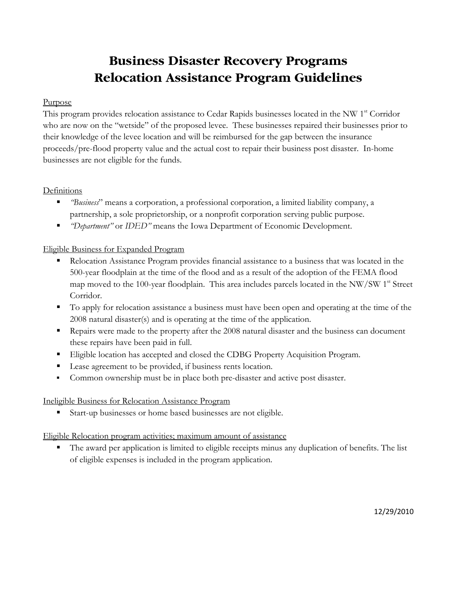# **Business Disaster Recovery Programs Relocation Assistance Program Guidelines**

### Purpose

This program provides relocation assistance to Cedar Rapids businesses located in the NW 1<sup>st</sup> Corridor who are now on the "wetside" of the proposed levee. These businesses repaired their businesses prior to their knowledge of the levee location and will be reimbursed for the gap between the insurance proceeds/pre-flood property value and the actual cost to repair their business post disaster. In-home businesses are not eligible for the funds.

# **Definitions**

- *"Business*" means a corporation, a professional corporation, a limited liability company, a partnership, a sole proprietorship, or a nonprofit corporation serving public purpose.
- *"Department"* or *IDED"* means the Iowa Department of Economic Development.

# Eligible Business for Expanded Program

- Relocation Assistance Program provides financial assistance to a business that was located in the 500-year floodplain at the time of the flood and as a result of the adoption of the FEMA flood map moved to the 100-year floodplain. This area includes parcels located in the NW/SW 1<sup>st</sup> Street Corridor.
- To apply for relocation assistance a business must have been open and operating at the time of the 2008 natural disaster(s) and is operating at the time of the application.
- Repairs were made to the property after the 2008 natural disaster and the business can document these repairs have been paid in full.
- Eligible location has accepted and closed the CDBG Property Acquisition Program.
- Lease agreement to be provided, if business rents location.
- Common ownership must be in place both pre-disaster and active post disaster.

# Ineligible Business for Relocation Assistance Program

Start-up businesses or home based businesses are not eligible.

# Eligible Relocation program activities; maximum amount of assistance

 The award per application is limited to eligible receipts minus any duplication of benefits. The list of eligible expenses is included in the program application.